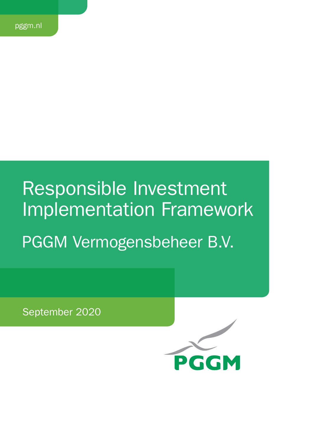# Responsible Investment Implementation Framework

PGGM Vermogensbeheer B.V.

September 2020

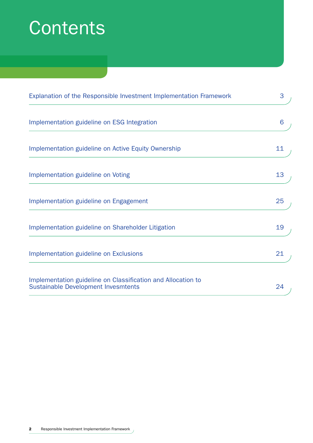# **Contents**

| Explanation of the Responsible Investment Implementation Framework                                         | 3  |
|------------------------------------------------------------------------------------------------------------|----|
| Implementation guideline on ESG Integration                                                                | 6  |
| Implementation guideline on Active Equity Ownership                                                        | 11 |
| Implementation guideline on Voting                                                                         | 13 |
| Implementation guideline on Engagement                                                                     | 25 |
| Implementation guideline on Shareholder Litigation                                                         | 19 |
| Implementation guideline on Exclusions                                                                     | 21 |
| Implementation guideline on Classification and Allocation to<br><b>Sustainable Development Invesmtents</b> | 24 |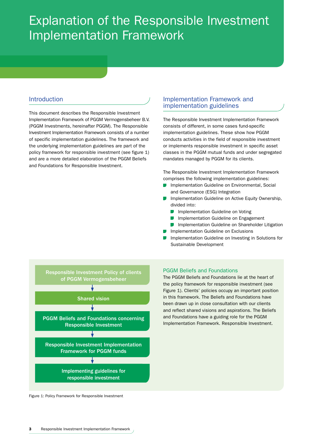# Explanation of the Responsible Investment Implementation Framework

# **Introduction**

This document describes the Responsible Investment Implementation Framework of PGGM Vermogensbeheer B.V. (PGGM Investments, hereinafter PGGM). The Responsible Investment Implementation Framework consists of a number of specific implementation guidelines. The framework and the underlying implementation guidelines are part of the policy framework for responsible investment (see figure 1) and are a more detailed elaboration of the PGGM Beliefs and Foundations for Responsible Investment.

# Implementation Framework and implementation guidelines

The Responsible Investment Implementation Framework consists of different, in some cases fund-specific implementation guidelines. These show how PGGM conducts activities in the field of responsible investment or implements responsible investment in specific asset classes in the PGGM mutual funds and under segregated mandates managed by PGGM for its clients.

The Responsible Investment Implementation Framework comprises the following implementation guidelines:

- **Implementation Guideline on Environmental, Social** and Governance (ESG) Integration
- **Implementation Guideline on Active Equity Ownership,** divided into:
	- **Implementation Guideline on Voting**
	- **Implementation Guideline on Engagement**
	- **ID** Implementation Guideline on Shareholder Litigation
- **Implementation Guideline on Exclusions**
- Implementation Guideline on Investing in Solutions for Sustainable Development



Figure 1: Policy Framework for Responsible Investment

#### PGGM Beliefs and Foundations

The PGGM Beliefs and Foundations lie at the heart of the policy framework for responsible investment (see Figure 1). Clients' policies occupy an important position in this framework. The Beliefs and Foundations have been drawn up in close consultation with our clients and reflect shared visions and aspirations. The Beliefs and Foundations have a guiding role for the PGGM Implementation Framework. Responsible Investment.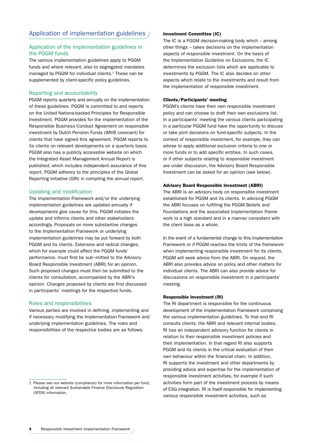# Application of implementation guidelines /

#### Application of the implementation guidelines in the PGGM funds

The various implementation guidelines apply to PGGM funds and where relevant, also to segregated mandates managed by PGGM for individual clients.<sup>1</sup> These can be supplemented by client-specific policy guidelines.

#### Reporting and accountability

PGGM reports quarterly and annually on the implementation of these guidelines. PGGM is committed to and reports on the United Nations-backed Principles for Responsible Investment. PGGM provides for the implementation of the Responsible Business Conduct Agreement on responsible investment by Dutch Pension Funds (IMVB covenant) for clients that have signed this agreement. PGGM reports to its clients on relevant developments on a quarterly basis. PGGM also has a publicly accessible website on which the Integrated Asset Management Annual Report is published, which includes independent assurance of this report. PGGM adheres to the principles of the Global Reporting Initiative (GRI) in compiling the annual report.

#### Updating and modification

The Implementation Framework and/or the underlying implementation guidelines are updated annually if developments give cause for this. PGGM initiates the update and informs clients and other stakeholders accordingly. Proposals on more substantive changes to the Implementation Framework or underlying implementation guidelines may be put forward by both PGGM and its clients. Extensive and radical changes, which for example could affect the PGGM funds' performance, must first be sub¬mitted to the Advisory Board Responsible Investment (ABRI) for an opinion. Such proposed changes must then be submitted to the clients for consultation, accompanied by the ABRI's opinion. Changes proposed by clients are first discussed in participants' meetings for the respective funds.

#### Roles and responsibilities

Various parties are involved in defining, implementing and if necessary modifying the Implementation Framework and underlying implementation guidelines. The roles and responsibilities of the respective bodies are as follows:

#### Investment Committee (IC)

The IC is a PGGM decision-making body which – among other things – takes decisions on the implementation aspects of responsible investment. On the basis of the Implementation Guideline on Exclusions, the IC determines the exclusion lists which are applicable to investments by PGGM. The IC also decides on other aspects which relate to the investments and result from the implementation of responsible investment.

#### Clients/Participants' meeting

PGGM's clients have their own responsible investment policy and can choose to draft their own exclusions list. In a participants' meeting the various clients participating in a particular PGGM fund have the opportunity to discuss or take joint decisions on fund-specific subjects. In the context of responsible investment, for example, they can advise to apply additional exclusion criteria to one or more funds or to add specific entities. In such cases, or if other subjects relating to responsible investment are under discussion, the Advisory Board Responsible Investment can be asked for an opinion (see below).

#### Advisory Board Responsible Investment (ABRI)

The ABRI is an advisory body on responsible investment established for PGGM and its clients. In advising PGGM the ABRI focuses on fulfilling the PGGM Beliefs and Foundations and the associated Implementation Framework to a high standard and in a manner consistent with the client base as a whole.

In the event of a fundamental change to this Implementation Framework or if PGGM reaches the limits of the framework when implementing responsible investment for its clients, PGGM will seek advice from the ABRI. On request, the ABRI also provides advice on policy and other matters for individual clients. The ABRI can also provide advice for discussions on responsible investment in a participants' meeting.

#### Responsible Investment (RI)

The RI department is responsible for the continuous development of the Implementation Framework comprising the various implementation guidelines. To that end RI consults clients, the ABRI and relevant internal bodies. RI has an independent advisory function for clients in relation to their responsible investment policies and their implementation. In that regard RI also supports PGGM and its clients in the critical evaluation of their own behaviour within the financial chain. In addition, RI supports the investment and other departments by providing advice and expertise for the implementation of responsible investment activities, for example if such activities form part of the investment process by means of ESG integration. RI is itself responsible for implementing various responsible investment activities, such as

<sup>1</sup> Please see our website (compliance) for more information per fund, including all relevant Sustainable Finance Disclosure Regulation (SFDR) information.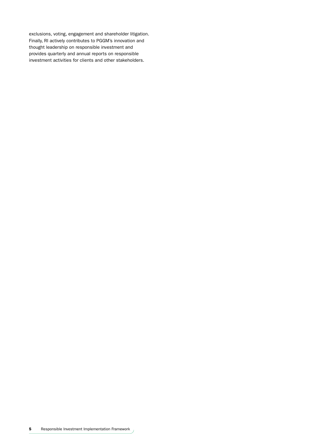exclusions, voting, engagement and shareholder litigation. Finally, RI actively contributes to PGGM's innovation and thought leadership on responsible investment and provides quarterly and annual reports on responsible investment activities for clients and other stakeholders.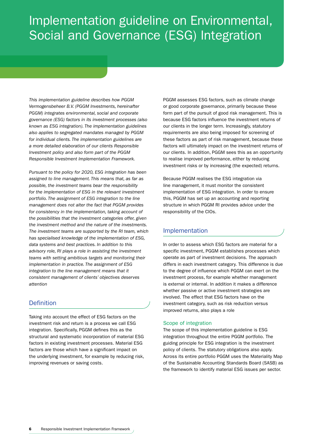# Implementation guideline on Environmental, Social and Governance (ESG) Integration

*This implementation guideline describes how PGGM Vermogensbeheer B.V. (PGGM Investments, hereinafter PGGM) integrates environmental, social and corporate governance (ESG) factors in its investment processes (also known as ESG integration). The implementation guidelines also applies to segregated mandates managed by PGGM for individual clients. The implementation guidelines are a more detailed elaboration of our clients Responsible Investment policy and also form part of the PGGM Responsible Investment Implementation Framework.*

*Pursuant to the policy for 2020, ESG integration has been assigned to line management. This means that, as far as possible, the investment teams bear the responsibility for the implementation of ESG in the relevant investment portfolio. The assignment of ESG integration to the line management does not alter the fact that PGGM provides for consistency in the implementation, taking account of the possibilities that the investment categories offer, given the investment method and the nature of the investments. The investment teams are supported by the RI team, which has specialised knowledge of the implementation of ESG, data systems and best practices. In addition to this advisory role, RI plays a role in assisting the investment teams with setting ambitious targets and monitoring their implementation in practice. The assignment of ESG integration to the line management means that it consistent management of clients' objectives deserves attention*

# **Definition**

Taking into account the effect of ESG factors on the investment risk and return is a process we call ESG integration. Specifically, PGGM defines this as the structural and systematic incorporation of material ESG factors in existing investment processes. Material ESG factors are those which have a significant impact on the underlying investment, for example by reducing risk, improving revenues or saving costs.

PGGM assesses ESG factors, such as climate change or good corporate governance, primarily because these form part of the pursuit of good risk management. This is because ESG factors influence the investment returns of our clients in the longer term. Increasingly, statutory requirements are also being imposed for screening of these factors as part of risk management, because these factors will ultimately impact on the investment returns of our clients. In addition, PGGM sees this as an opportunity to realise improved performance, either by reducing investment risks or by increasing (the expected) returns.

Because PGGM realises the ESG integration via line management, it must monitor the consistent implementation of ESG integration. In order to ensure this, PGGM has set up an accounting and reporting structure in which PGGM RI provides advice under the responsibility of the CIOs.

# Implementation

In order to assess which ESG factors are material for a specific investment, PGGM establishes processes which operate as part of investment decisions. The approach differs in each investment category. This difference is due to the degree of influence which PGGM can exert on the investment process, for example whether management is external or internal. In addition it makes a difference whether passive or active investment strategies are involved. The effect that ESG factors have on the investment category, such as risk reduction versus improved returns, also plays a role

#### Scope of integration

The scope of this implementation guideline is ESG integration throughout the entire PGGM portfolio. The guiding principle for ESG integration is the investment policy of clients. The statutory obligations also apply. Across its entire portfolio PGGM uses the Materiality Map of the Sustainable Accounting Standards Board (SASB) as the framework to identify material ESG issues per sector.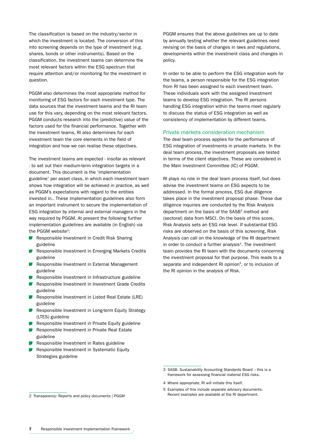The classification is based on the industry/sector in which the investment is located. The conversion of this into screening depends on the type of investment (e.g. shares, bonds or other instruments). Based on the classification, the investment teams can determine the most relevant factors within the ESG spectrum that require attention and/or monitoring for the investment in question.

PGGM also determines the most appropriate method for monitoring of ESG factors for each investment type. The data sources that the investment teams and the RI team use for this vary, depending on the most relevant factors. PGGM conducts research into the (predictive) value of the factors used for the financial performance. Together with the investment teams, RI also determines for each investment team the core elements in the field of integration and how we can realise these objectives.

The investment teams are expected - insofar as relevant - to set out their medium-term integration targets in a document. This document is the 'implementation guideline' per asset class, in which each investment team shows how integration will be achieved in practice, as well as PGGM's expectations with regard to the entities invested in.. These implementation guidelines also form an important instrument to secure the implementation of ESG integration by internal and external managers in the way required by PGGM. At present the following further implementation guidelines are available (in English) via the PGGM website<sup>2</sup>:

- **Responsible Investment in Credit Risk Sharing** guideline
- Responsible Investment in Emerging Markets Credits guideline
- Responsible Investment in External Management guideline
- Responsible Investment in Infrastructure guideline
- Responsible Investment in Investment Grade Credits guideline
- Responsible Investment in Listed Real Estate (LRE) guideline
- Responsible Investment in Long-term Equity Strategy (LTES) guideline
- Responsible Investment in Private Equity guideline
- Responsible Investment in Private Real Estate guideline
- Responsible Investment in Rates guideline
- Responsible Investment in Systematic Equity Strategies guideline

PGGM ensures that the above guidelines are up to date by annually testing whether the relevant guidelines need revising on the basis of changes in laws and regulations, developments within the investment class and changes in policy.

In order to be able to perform the ESG integration work for the teams, a person responsible for the ESG integration from RI has been assigned to each investment team. These individuals work with the assigned investment teams to develop ESG integration. The RI persons handling ESG integration within the teams meet regularly to discuss the status of ESG integration as well as consistency of implementation by different teams.

#### Private markets consideration mechanism

The deal team process applies for the performance of ESG integration of investments in private markets. In the deal team process, the investment proposals are tested in terms of the client objectives. These are considered in the Main Investment Committee (IC) of PGGM.

RI plays no role in the deal team process itself, but does advise the investment teams on ESG aspects to be addressed. In the formal process, ESG due diligence takes place in the investment proposal phase. These due diligence inquiries are conducted by the Risk Analysis department on the basis of the SASB<sup>3</sup> method and (sectoral) data from MSCI. On the basis of this score, Risk Analysis sets an ESG risk level. If substantial ESG risks are observed on the basis of this screening, Risk Analysis can call on the knowledge of the RI department in order to conduct a further analysis<sup>4</sup>. The investment team provides the RI team with the documents concerning the investment proposal for that purpose. This leads to a separate and independent RI opinion<sup>5</sup>, or to inclusion of the RI opinion in the analysis of Risk.

- 4 Where appropriate, RI will initiate this itself.
- 5 Examples of this include separate advisory documents. Recent examples are available at the RI department.

<sup>3</sup> SASB: Sustainability Accounting Standards Board – this is a framework for assessing financial material ESG risks.

<sup>2</sup> Transparency: Reports and policy documents | PGGM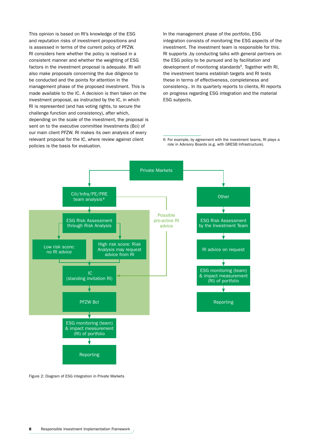This opinion is based on RI's knowledge of the ESG and reputation risks of investment propositions and is assessed in terms of the current policy of PFZW. RI considers here whether the policy is realised in a consistent manner and whether the weighting of ESG factors in the investment proposal is adequate. RI will also make proposals concerning the due diligence to be conducted and the points for attention in the management phase of the proposed investment. This is made available to the IC. A decision is then taken on the investment proposal, as instructed by the IC, in which RI is represented (and has voting rights, to secure the challenge function and consistency), after which, depending on the scale of the investment, the proposal is sent on to the executive committee Investments (Bci) of our main client PFZW. RI makes its own analysis of every relevant proposal for the IC, where review against client policies is the basis for evaluation.

In the management phase of the portfolio, ESG integration consists of monitoring the ESG aspects of the investment. The investment team is responsible for this. RI supports ,by conducting talks with general partners on the ESG policy to be pursued and by facilitation and development of monitoring standards<sup>6</sup>. Together with RI, the investment teams establish targets and RI tests these in terms of effectiveness, completeness and consistency.. In its quarterly reports to clients, RI reports on progress regarding ESG integration and the material ESG subjects.

6 For example, by agreement with the investment teams, RI plays a role in Advisory Boards (e.g. with GRESB Infrastructure).



Figure 2: Diagram of ESG integration in Private Markets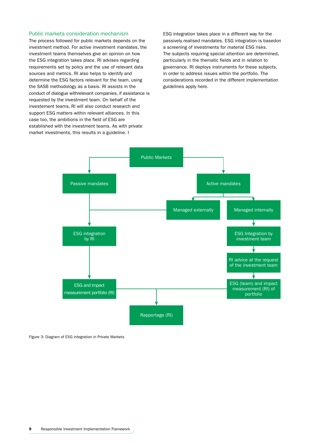#### Public markets consideration mechanism

The process followed for public markets depends on the investment method. For active investment mandates, the investment teams themselves give an opinion on how the ESG integration takes place. RI advises regarding requirements set by policy and the use of relevant data sources and metrics. RI also helps to identify and determine the ESG factors relevant for the team, using the SASB methodology as a basis. RI assists in the conduct of dialogue withrelevant companies, if assistance is requested by the investment team. On behalf of the investement teams, RI will also conduct research and support ESG matters within relevant alliances. In this case too, the ambitions in the field of ESG are established with the investment teams. As with private market investments, this results in a guideline. I

ESG integration takes place in a different way for the passively realised mandates. ESG integration is basedon a screening of investments for material ESG risks. The subjects requiring special attention are determined, particularly in the thematic fields and in relation to governance. RI deploys instruments for these subjects, in order to address issues within the portfolio. The considerations recorded in the different implementation guidelines apply here.



Figure 3: Diagram of ESG integration in Private Markets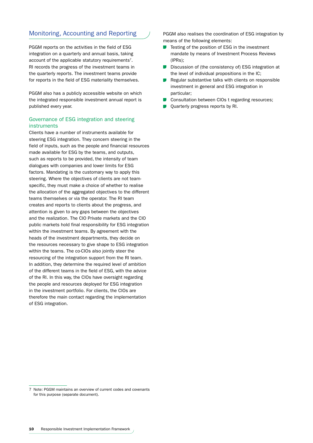# Monitoring, Accounting and Reporting

PGGM reports on the activities in the field of ESG integration on a quarterly and annual basis, taking account of the applicable statutory requirements<sup>7</sup>. RI records the progress of the investment teams in the quarterly reports. The investment teams provide for reports in the field of ESG materiality themselves.

PGGM also has a publicly accessible website on which the integrated responsible investment annual report is published every year.

#### Governance of ESG integration and steering instruments

Clients have a number of instruments available for steering ESG integration. They concern steering in the field of inputs, such as the people and financial resources made available for ESG by the teams, and outputs, such as reports to be provided, the intensity of team dialogues with companies and lower limits for ESG factors. Mandating is the customary way to apply this steering. Where the objectives of clients are not teamspecific, they must make a choice of whether to realise the allocation of the aggregated objectives to the different teams themselves or via the operator. The RI team creates and reports to clients about the progress, and attention is given to any gaps between the objectives and the realization. The CIO Private markets and the CIO public markets hold final responsibility for ESG integration within the investment teams. By agreement with the heads of the investment departments, they decide on the resources necessary to give shape to ESG integration within the teams. The co-CIOs also jointly steer the resourcing of the integration support from the RI team. In addition, they determine the required level of ambition of the different teams in the field of ESG, with the advice of the RI. In this way, the CIOs have oversight regarding the people and resources deployed for ESG integration in the investment portfolio. For clients, the CIOs are therefore the main contact regarding the implementation of ESG integration.

PGGM also realises the coordination of ESG integration by means of the following elements:

- Testing of the position of ESG in the investment mandate by means of Investment Process Reviews (IPRs);
- Discussion of (the consistency of) ESG integration at the level of individual propositions in the IC;
- Regular substantive talks with clients on responsible  $\sim 10$ investment in general and ESG integration in particular;
- $\sim$ Consultation between CIOs t regarding resources;
- Quarterly progress reports by RI.

<sup>7</sup> Note: PGGM maintains an overview of current codes and covenants for this purpose (separate document).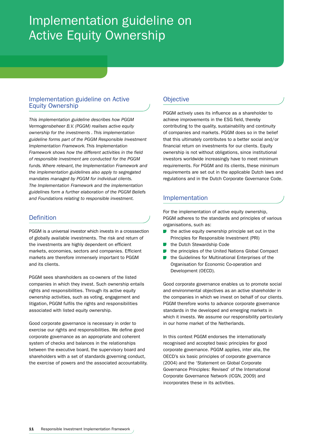# Implementation guideline on Active Equity Ownership

# Implementation guideline on Active Equity Ownership

*This implementation guideline describes how PGGM Vermogensbeheer B.V. (PGGM) realises active equity ownership for the investments . This implementation guideline forms part of the PGGM Responsible Investment Implementation Framework. This Implementation Framework shows how the different activities in the field of responsible investment are conducted for the PGGM funds. Where relevant, the Implementation Framework and the implementation guidelines also apply to segregated mandates managed by PGGM for individual clients. The Implementation Framework and the implementation guidelines form a further elaboration of the PGGM Beliefs and Foundations relating to responsible investment.*

# Definition

PGGM is a universal investor which invests in a crosssection of globally available investments. The risk and return of the investments are highly dependent on efficient markets, economies, sectors and companies. Efficient markets are therefore immensely important to PGGM and its clients.

PGGM sees shareholders as co-owners of the listed companies in which they invest. Such ownership entails rights and responsibilities. Through its active equity ownership activities, such as voting, engagement and litigation, PGGM fulfils the rights and responsibilities associated with listed equity ownership.

Good corporate governance is necessary in order to exercise our rights and responsibilities. We define good corporate governance as an appropriate and coherent system of checks and balances in the relationships between the executive board, the supervisory board and shareholders with a set of standards governing conduct, the exercise of powers and the associated accountability.

# **Objective**

PGGM actively uses its influence as a shareholder to achieve improvements in the ESG field, thereby contributing to the quality, sustainability and continuity of companies and markets. PGGM does so in the belief that this ultimately contributes to a better social and/or financial return on investments for our clients. Equity ownership is not without obligations, since institutional investors worldwide increasingly have to meet minimum requirements. For PGGM and its clients, these minimum requirements are set out in the applicable Dutch laws and regulations and in the Dutch Corporate Governance Code.

# Implementation

For the implementation of active equity ownership, PGGM adheres to the standards and principles of various organisations, such as:

- the active equity ownership principle set out in the Principles for Responsible Investment (PRI)
- the Dutch Stewardship Code
- the principles of the United Nations Global Compact
- the Guidelines for Multinational Enterprises of the Organisation for Economic Co-operation and Development (OECD).

Good corporate governance enables us to promote social and environmental objectives as an active shareholder in the companies in which we invest on behalf of our clients. PGGM therefore works to advance corporate governance standards in the developed and emerging markets in which it invests. We assume our responsibility particularly in our home market of the Netherlands.

In this context PGGM endorses the internationally recognised and accepted basic principles for good corporate governance. PGGM applies, inter alia, the OECD's six basic principles of corporate governance (2004) and the 'Statement on Global Corporate Governance Principles: Revised' of the International Corporate Governance Network (ICGN, 2009) and incorporates these in its activities.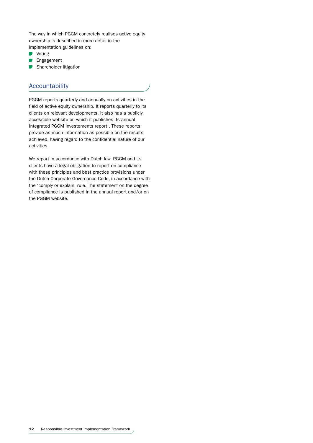The way in which PGGM concretely realises active equity ownership is described in more detail in the implementation guidelines on:

- **Voting**
- $\overline{\phantom{a}}$ Engagement
- Shareholder litigation

# Accountability

PGGM reports quarterly and annually on activities in the field of active equity ownership. It reports quarterly to its clients on relevant developments. It also has a publicly accessible website on which it publishes its annual Integrated PGGM Investements report.. These reports provide as much information as possible on the results achieved, having regard to the confidential nature of our activities.

We report in accordance with Dutch law. PGGM and its clients have a legal obligation to report on compliance with these principles and best practice provisions under the Dutch Corporate Governance Code, in accordance with the 'comply or explain' rule. The statement on the degree of compliance is published in the annual report and/or on the PGGM website.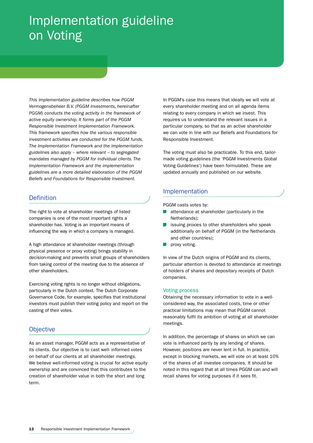# Implementation guideline on Voting

*This implementation guideline describes how PGGM Vermogensbeheer B.V. (PGGM Investments, hereinafter PGGM) conducts the voting activity in the framework of active equity ownership. It forms part of the PGGM Responsible Investment Implementation Framework. This framework specifies how the various responsible investment activities are conducted for the PGGM funds. The Implementation Framework and the implementation guidelines also apply – where relevant – to segregated mandates managed by PGGM for individual clients. The Implementation Framework and the implementation guidelines are a more detailed elaboration of the PGGM Beliefs and Foundations for Responsible Investment.*

# **Definition**

The right to vote at shareholder meetings of listed companies is one of the most important rights a shareholder has. Voting is an important means of influencing the way in which a company is managed.

A high attendance at shareholder meetings (through physical presence or proxy voting) brings stability in decision-making and prevents small groups of shareholders from taking control of the meeting due to the absence of other shareholders.

Exercising voting rights is no longer without obligations, particularly in the Dutch context. The Dutch Corporate Governance Code, for example, specifies that institutional investors must publish their voting policy and report on the casting of their votes.

# **Objective**

As an asset manager, PGGM acts as a representative of its clients. Our objective is to cast well- informed votes on behalf of our clients at all shareholder meetings. We believe well-informed voting is crucial for active equity ownership and are convinced that this contributes to the creation of shareholder value in both the short and long term.

In PGGM's case this means that ideally we will vote at every shareholder meeting and on all agenda items relating to every company in which we invest. This requires us to understand the relevant issues in a particular company, so that as an active shareholder we can vote in line with our Beliefs and Foundations for Responsible Investment.

The voting must also be practicable. To this end, tailormade voting guidelines (the 'PGGM Investments Global Voting Guidelines') have been formulated. These are updated annually and published on our website.

# Implementation

PGGM casts votes by:

- attendance at shareholder (particularly in the  $\sim$ Netherlands);
- issuing proxies to other shareholders who speak additionally on behalf of PGGM (in the Netherlands and other countries);
- proxy voting.

In view of the Dutch origins of PGGM and its clients, particular attention is devoted to attendance at meetings of holders of shares and depositary receipts of Dutch companies.

#### Voting process

Obtaining the necessary information to vote in a wellconsidered way, the associated costs, time or other practical limitations may mean that PGGM cannot reasonably fulfil its ambition of voting at all shareholder meetings.

In addition, the percentage of shares on which we can vote is influenced partly by any lending of shares. However, positions are never lent in full. In practice, except in blocking markets, we will vote on at least 10% of the shares of all investee companies. It should be noted in this regard that at all times PGGM can and will recall shares for voting purposes if it sees fit.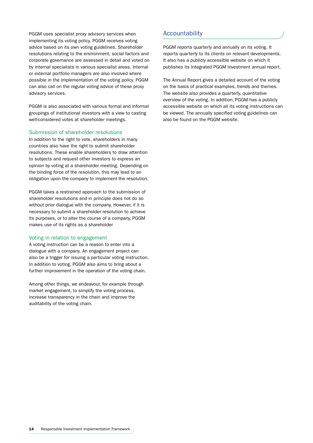PGGM uses specialist proxy advisory services when implementing its voting policy. PGGM receives voting advice based on its own voting guidelines. Shareholder resolutions relating to the environment, social factors and corporate governance are assessed in detail and voted on by internal specialists in various specialist areas. Internal or external portfolio managers are also involved where possible in the implementation of the voting policy. PGGM can also call on the regular voting advice of these proxy advisory services.

PGGM is also associated with various formal and informal groupings of institutional investors with a view to casting well-considered votes at shareholder meetings.

#### Submission of shareholder resolutions

In addition to the right to vote, shareholders in many countries also have the right to submit shareholder resolutions. These enable shareholders to draw attention to subjects and request other investors to express an opinion by voting at a shareholder meeting. Depending on the binding force of the resolution, this may lead to an obligation upon the company to implement the resolution.

PGGM takes a restrained approach to the submission of shareholder resolutions and in principle does not do so without prior dialogue with the company. However, if it is necessary to submit a shareholder resolution to achieve its purposes, or to alter the course of a company, PGGM makes use of its rights as a shareholder

#### Voting in relation to engagement

A voting instruction can be a reason to enter into a dialogue with a company. An engagement project can also be a trigger for issuing a particular voting instruction. In addition to voting, PGGM also aims to bring about a further improvement in the operation of the voting chain.

Among other things, we endeavour, for example through market engagement, to simplify the voting process, increase transparency in the chain and improve the auditability of the voting chain.

#### **Accountability**

PGGM reports quarterly and annually on its voting. It reports quarterly to its clients on relevant developments. It also has a publicly accessible website on which it publishes its Integrated PGGM Investment annual report.

The Annual Report gives a detailed account of the voting on the basis of practical examples, trends and themes. The website also provides a quarterly, quantitative overview of the voting. In addition, PGGM has a publicly accessible website on which all its voting instructions can be viewed. The annually specified voting guidelines can also be found on the PGGM website.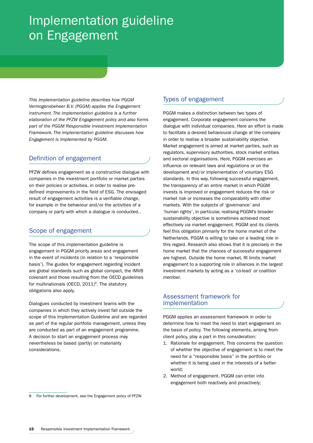# Implementation guideline on Engagement

*This implementation guideline describes how PGGM Vermogensbeheer B.V. (PGGM) applies the Engagement instrument. The implementation guideline is a further elaboration of the PFZW Engagement policy and also forms part of the PGGM Responsible Investment Implementation Framework. The implementation guideline discusses how Engagement is implemented by PGGM.*

# Definition of engagement

PFZW defines engagement as a constructive dialogue with companies in the investment portfolio or market parties on their policies or activities, in order to realise predefined improvements in the field of ESG. The envisaged result of engagement activities is a verifiable change, for example in the behaviour and/or the activities of a company or party with which a dialogue is conducted..

# Scope of engagement

The scope of this implementation guideline is engagement in PGGM priority areas and engagement in the event of incidents (in relation to a 'responsible basis'). The guides for engagement regarding incident are global standards such as global compact, the IMVB covenant and those resulting from the OECD guidelines for multinationals (OECD,  $2011$ <sup>8</sup>. The statutory obligations also apply.

Dialogues conducted by investment teams with the companies in which they actively invest fall outside the scope of this Implementation Guideline and are regarded as part of the regular portfolio management, unless they are conducted as part of an engagement programme. A decision to start an engagement process may nevertheless be based (partly) on materiality considerations.

PGGM makes a distinction between two types of engagement. Corporate engagement concerns the dialogue with individual companies. Here an effort is made to facilitate a desired behavioural change at the company in order to realise a broader sustainability objective. Market engagement is aimed at market parties, such as regulators, supervisory authorities, stock market entities and sectoral organisations. Here, PGGM exercises an influence on relevant laws and regulations or on the development and/or implementation of voluntary ESG standards. In this way, following successful engagement, the transparency of an entire market in which PGGM invests is improved or engagement reduces the risk or market risk or increases the comparability with other markets. With the subjects of 'governance' and 'human rights', in particular, realising PGGM's broader sustainability objective is sometimes achieved most effectively via market engagement. PGGM and its clients feel this obligation primarily for the home market of the Netherlands. PGGM is willing to take on a leading role in this regard. Research also shows that it is precisely in the home market that the chances of successful engagement are highest. Outside the home market, RI limits market engagement to a supporting role in alliances in the largest investment markets by acting as a 'co-lead' or coalition member.

### Assessment framework for implementation

PGGM applies an assessment framework in order to determine how to meet the need to start engagement on the basis of policy. The following elements, arising from client policy, play a part in this consideration:

- 1. Rationale for engagement. This concerns the question of whether the objective of engagement is to meet the need for a "responsible basis" in the portfolio or whether it is being used in the interests of a better world;
- 2. Method of engagement. PGGM can enter into engagement both reactively and proactively;

Types of engagement

<sup>8</sup> For further development, see the Engagement policy of PFZW.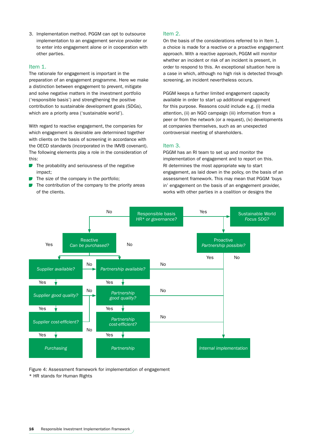3. Implementation method. PGGM can opt to outsource implementation to an engagement service provider or to enter into engagement alone or in cooperation with other parties.

#### Item 1.

The rationale for engagement is important in the preparation of an engagement programme. Here we make a distinction between engagement to prevent, mitigate and solve negative matters in the investment portfolio ('responsible basis') and strengthening the positive contribution to sustainable development goals (SDGs), which are a priority area ('sustainable world').

With regard to reactive engagement, the companies for which engagement is desirable are determined together with clients on the basis of screening in accordance with the OECD standards (incorporated in the IMVB covenant). The following elements play a role in the consideration of this:

- **CO** The probability and seriousness of the negative impact;
- The size of the company in the portfolio;
- The contribution of the company to the priority areas of the clients.

#### Item 2.

On the basis of the considerations referred to in Item 1, a choice is made for a reactive or a proactive engagement approach. With a reactive approach, PGGM will monitor whether an incident or risk of an incident is present, in order to respond to this. An exceptional situation here is a case in which, although no high risk is detected through screening, an incident nevertheless occurs.

PGGM keeps a further limited engagement capacity available in order to start up additional engagement for this purpose. Reasons could include e.g. (i) media attention, (ii) an NGO campaign (iii) information from a peer or from the network (or a request), (iv) developments at companies themselves, such as an unexpected controversial meeting of shareholders.

#### Item 3.

PGGM has an RI team to set up and monitor the implementation of engagement and to report on this. RI determines the most appropriate way to start engagement, as laid down in the policy, on the basis of an assessment framework. This may mean that PGGM 'buys in' engagement on the basis of an engagement provider, works with other parties in a coalition or designs the



Figure 4: Assessment framework for implementation of engagement \* HR stands for Human Rights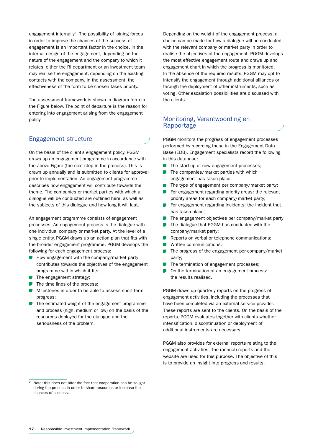engagement internally<sup>9</sup>. The possibility of joining forces in order to improve the chances of the success of engagement is an important factor in the choice. In the internal design of the engagement, depending on the nature of the engagement and the company to which it relates, either the RI department or an investment team may realise the engagement, depending on the existing contacts with the company. In the assessment, the effectiveness of the form to be chosen takes priority.

The assessment framework is shown in diagram form in the Figure below. The point of departure is the reason for entering into engagement arising from the engagement policy.

### Engagement structure

On the basis of the client's engagement policy, PGGM draws up an engagement programme in accordance with the above Figure (the next step in the process). This is drawn up annually and is submitted to clients for approval prior to implementation. An engagement programme describes how engagement will contribute towards the theme. The companies or market parties with which a dialogue will be conducted are outlined here, as well as the subjects of this dialogue and how long it will last.

An engagement programme consists of engagement processes. An engagement process is the dialogue with one individual company or market party. At the level of a single entity, PGGM draws up an action plan that fits with the broader engagement programme. PGGM develops the following for each engagement process:

- $\blacksquare$  How engagement with the company/market party contributes towards the objectives of the engagement programme within which it fits;
- $\blacksquare$  The engagement strategy;
- $\blacksquare$  The time lines of the process;
- **Milestones in order to be able to assess short-term** progress;
- $\blacksquare$  The estimated weight of the engagement programme and process (high, medium or low) on the basis of the resources deployed for the dialogue and the seriousness of the problem.

Depending on the weight of the engagement process, a choice can be made for how a dialogue will be conducted with the relevant company or market party in order to realise the objectives of the engagement. PGGM develops the most effective engagement route and draws up and engagement chart in which the progress is monitored. In the absence of the required results, PGGM may opt to intensify the engagement through additional alliances or through the deployment of other instruments, such as voting. Other escalation possibilities are discussed with the clients.

### Monitoring, Verantwoording en Rapportage

PGGM monitors the progress of engagement processes performed by recording these in the Engagement Data Base (EDB). Engagement specialists record the following in this database:

- The start-up of new engagement processes;
- The companies/market parties with which engagement has taken place;
- $\blacksquare$  The type of engagement per company/market party;
- For engagement regarding priority areas: the relevant priority areas for each company/market party;
- $\blacksquare$  For engagement regarding incidents: the incident that has taken place;
- $\blacksquare$  The engagement objectives per company/market party
- The dialogue that PGGM has conducted with the company/market party:
- Reports on verbal or telephone communications;  $\mathcal{L}(\mathcal{A})$
- Written communications.
- The progress of the engagement per company/market party;
- The termination of engagement processes;
- On the termination of an engagement process:  $\sim 10$ the results realised.

PGGM draws up quarterly reports on the progress of engagement activities, including the processes that have been completed via an external service provider. These reports are sent to the clients. On the basis of the reports, PGGM evaluates together with clients whether intensification, discontinuation or deployment of additional instruments are necessary.

PGGM also provides for external reports relating to the engagement activities. The (annual) reports and the website are used for this purpose. The objective of this is to provide an insight into progress and results.

<sup>9</sup> Note: this does not alter the fact that cooperation can be sought during the process in order to share resources or increase the chances of success.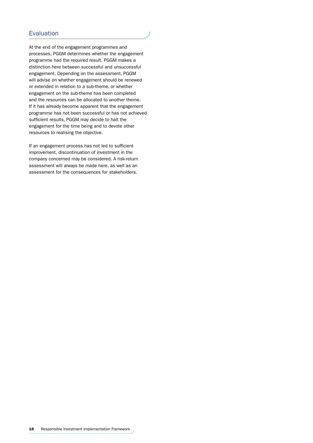At the end of the engagement programmes and processes, PGGM determines whether the engagement programme had the required result. PGGM makes a distinction here between successful and unsuccessful engagement. Depending on the assessment, PGGM will advise on whether engagement should be renewed or extended in relation to a sub-theme, or whether engagement on the sub-theme has been completed and the resources can be allocated to another theme. If it has already become apparent that the engagement programme has not been successful or has not achieved sufficient results, PGGM may decide to halt the engagement for the time being and to devote other resources to realising the objective.

If an engagement process has not led to sufficient improvement, discontinuation of investment in the company concerned may be considered. A risk-return assessment will always be made here, as well as an assessment for the consequences for stakeholders.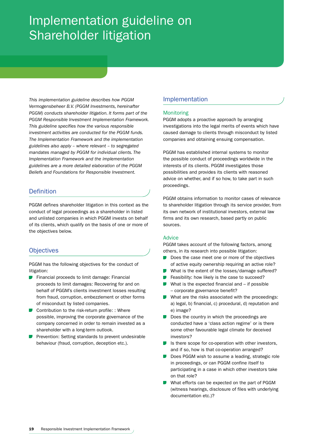# Implementation guideline on Shareholder litigation

*This implementation guideline describes how PGGM Vermogensbeheer B.V. (PGGM Investments, hereinafter PGGM) conducts shareholder litigation. It forms part of the PGGM Responsible Investment Implementation Framework. This guideline specifies how the various responsible investment activities are conducted for the PGGM funds. The Implementation Framework and the implementation guidelines also apply – where relevant – to segregated mandates managed by PGGM for individual clients. The Implementation Framework and the implementation guidelines are a more detailed elaboration of the PGGM Beliefs and Foundations for Responsible Investment.*

# **Definition**

PGGM defines shareholder litigation in this context as the conduct of legal proceedings as a shareholder in listed and unlisted companies in which PGGM invests on behalf of its clients, which qualify on the basis of one or more of the objectives below.

# **Objectives**

PGGM has the following objectives for the conduct of litigation:

- **Financial proceeds to limit damage: Financial** proceeds to limit damages: Recovering for and on behalf of PGGM's clients investment losses resulting from fraud, corruption, embezzlement or other forms of misconduct by listed companies.
- Contribution to the risk-return profile: : Where possible, improving the corporate governance of the company concerned in order to remain invested as a shareholder with a long-term outlook.
- Prevention: Setting standards to prevent undesirable behaviour (fraud, corruption, deception etc.).

# Implementation

#### Monitoring

PGGM adopts a proactive approach by arranging investigations into the legal merits of events which have caused damage to clients through misconduct by listed companies and obtaining ensuing compensation.

PGGM has established internal systems to monitor the possible conduct of proceedings worldwide in the interests of its clients. PGGM investigates those possibilities and provides its clients with reasoned advice on whether, and if so how, to take part in such proceedings.

PGGM obtains information to monitor cases of relevance to shareholder litigation through its service provider, from its own network of institutional investors, external law firms and its own research, based partly on public sources.

#### Advice

PGGM takes account of the following factors, among others, in its research into possible litigation:

- Does the case meet one or more of the objectives  $\sim 10$ of active equity ownership requiring an active role?
- What is the extent of the losses/damage suffered? **The Contract**
- Feasibility: how likely is the case to succeed?
- What is the expected financial and  $-$  if possible – corporate governance benefit?
- What are the risks associated with the proceedings: a) legal, b) financial, c) procedural, d) reputation and e) image?
- Does the country in which the proceedings are  $\sim 10$ conducted have a 'class action regime' or is there some other favourable legal climate for deceived investors?
- $\blacksquare$  Is there scope for co-operation with other investors, and if so, how is that co-operation arranged?
- Does PGGM wish to assume a leading, strategic role in proceedings, or can PGGM confine itself to participating in a case in which other investors take on that role?
- What efforts can be expected on the part of PGGM (witness hearings, disclosure of files with underlying documentation etc.)?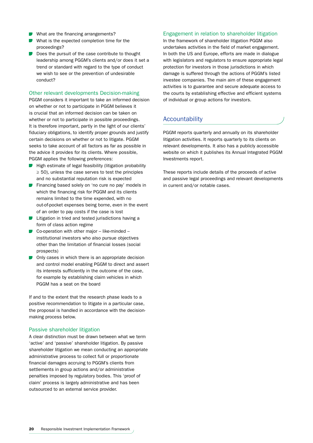- What are the financing arrangements?
- What is the expected completion time for the proceedings?
- Does the pursuit of the case contribute to thought leadership among PGGM's clients and/or does it set a trend or standard with regard to the type of conduct we wish to see or the prevention of undesirable conduct?

#### Other relevant developments Decision-making

PGGM considers it important to take an informed decision on whether or not to participate in PGGM believes it is crucial that an informed decision can be taken on whether or not to participate in possible proceedings. It is therefore important, partly in the light of our clients' fiduciary obligations, to identify proper grounds and justify certain decisions on whether or not to litigate. PGGM seeks to take account of all factors as far as possible in the advice it provides for its clients. Where possible, PGGM applies the following preferences:

- $\blacksquare$  High estimate of legal feasibility (litigation probability  $\geq$  50), unless the case serves to test the principles and no substantial reputation risk is expected
- **Financing based solely on 'no cure no pay' models in** which the financing risk for PGGM and its clients remains limited to the time expended, with no out-of-pocket expenses being borne, even in the event of an order to pay costs if the case is lost
- $\blacksquare$  Litigation in tried and tested iurisdictions having a form of class action regime
- $\Box$  Co-operation with other major like-minded institutional investors who also pursue objectives other than the limitation of financial losses (social prospects)
- $\Box$  Only cases in which there is an appropriate decision and control model enabling PGGM to direct and assert its interests sufficiently in the outcome of the case, for example by establishing claim vehicles in which PGGM has a seat on the board

If and to the extent that the research phase leads to a positive recommendation to litigate in a particular case, the proposal is handled in accordance with the decisionmaking process below.

#### Passive shareholder litigation

A clear distinction must be drawn between what we term 'active' and 'passive' shareholder litigation. By passive shareholder litigation we mean conducting an appropriate administrative process to collect full or proportionate financial damages accruing to PGGM's clients from settlements in group actions and/or administrative penalties imposed by regulatory bodies. This 'proof of claim' process is largely administrative and has been outsourced to an external service provider.

#### Engagement in relation to shareholder litigation

In the framework of shareholder litigation PGGM also undertakes activities in the field of market engagement. In both the US and Europe, efforts are made in dialogue with legislators and regulators to ensure appropriate legal protection for investors in those jurisdictions in which damage is suffered through the actions of PGGM's listed investee companies. The main aim of these engagement activities is to guarantee and secure adequate access to the courts by establishing effective and efficient systems of individual or group actions for investors.

### Accountability

PGGM reports quarterly and annually on its shareholder litigation activities. It reports quarterly to its clients on relevant developments. It also has a publicly accessible website on which it publishes its Annual Integrated PGGM Investments report.

These reports include details of the proceeds of active and passive legal proceedings and relevant developments in current and/or notable cases.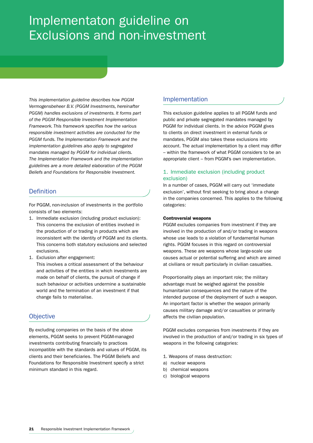# Implementaton guideline on Exclusions and non-investment

*This implementation guideline describes how PGGM Vermogensbeheer B.V. (PGGM Investments, hereinafter PGGM) handles exclusions of investments. It forms part of the PGGM Responsible Investment Implementation Framework. This framework specifies how the various responsible investment activities are conducted for the PGGM funds. The Implementation Framework and the implementation guidelines also apply to segregated mandates managed by PGGM for individual clients. The Implementation Framework and the implementation guidelines are a more detailed elaboration of the PGGM Beliefs and Foundations for Responsible Investment.*

# **Definition**

For PGGM, non-inclusion of investments in the portfolio consists of two elements:

- 1. Immediate exclusion (including product exclusion): This concerns the exclusion of entities involved in the production of or trading in products which are inconsistent with the identity of PGGM and its clients. This concerns both statutory exclusions and selected exclusions.
- 1. Exclusion after engagement:

This involves a critical assessment of the behaviour and activities of the entities in which investments are made on behalf of clients, the pursuit of change if such behaviour or activities undermine a sustainable world and the termination of an investment if that change fails to materialise.

# **Objective**

By excluding companies on the basis of the above elements, PGGM seeks to prevent PGGM-managed investments contributing financially to practices incompatible with the standards and values of PGGM, its clients and their beneficiaries. The PGGM Beliefs and Foundations for Responsible Investment specify a strict minimum standard in this regard.

# Implementation

This exclusion guideline applies to all PGGM funds and public and private segregated mandates managed by PGGM for individual clients. In the advice PGGM gives to clients on direct investment in external funds or mandates, PGGM also takes these exclusions into account. The actual implementation by a client may differ – within the framework of what PGGM considers to be an appropriate client – from PGGM's own implementation.

### 1. Immediate exclusion (including product exclusion)

In a number of cases, PGGM will carry out 'immediate exclusion', without first seeking to bring about a change in the companies concerned. This applies to the following categories:

#### Controversial weapons

PGGM excludes companies from investment if they are involved in the production of and/or trading in weapons whose use leads to a violation of fundamental human rights. PGGM focuses in this regard on controversial weapons. These are weapons whose large-scale use causes actual or potential suffering and which are aimed at civilians or result particularly in civilian casualties.

Proportionality plays an important role; the military advantage must be weighed against the possible humanitarian consequences and the nature of the intended purpose of the deployment of such a weapon. An important factor is whether the weapon primarily causes military damage and/or casualties or primarily affects the civilian population.

PGGM excludes companies from investments if they are involved in the production of and/or trading in six types of weapons in the following categories:

- 1. Weapons of mass destruction:
- a) nuclear weapons
- b) chemical weapons
- c) biological weapons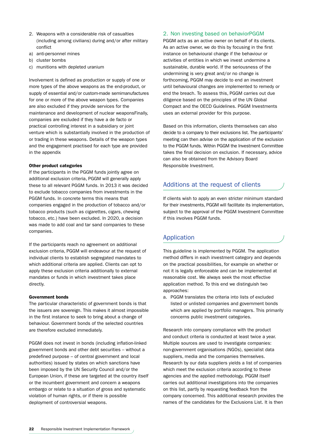- 2. Weapons with a considerable risk of casualties (including among civilians) during and/or after military conflict
- a) anti-personnel mines
- b) cluster bombs
- c) munitions with depleted uranium

Involvement is defined as production or supply of one or more types of the above weapons as the end-product, or supply of essential and/or custom-made semimanufactures for one or more of the above weapon types. Companies are also excluded if they provide services for the maintenance and development of nuclear weaponsFinally, companies are excluded if they have a de facto or practical controlling interest in a subsidiary or joint venture which is substantially involved in the production of or trading in these weapons. Details of the weapon types and the engagement practised for each type are provided in the appendix

#### Other product categories

If the participants in the PGGM funds jointly agree on additional exclusion criteria, PGGM will generally apply these to all relevant PGGM funds. In 2013 it was decided to exclude tobacco companies from investments in the PGGM funds. In concrete terms this means that companies engaged in the production of tobacco and/or tobacco products (such as cigarettes, cigars, chewing tobacco, etc.) have been excluded. In 2020, a decision was made to add coal and tar sand companies to these companies.

If the participants reach no agreement on additional exclusion criteria, PGGM will endeavour at the request of individual clients to establish segregated mandates to which additional criteria are applied. Clients can opt to apply these exclusion criteria additionally to external mandates or funds in which investment takes place directly.

#### Government bonds

The particular characteristic of government bonds is that the issuers are sovereign. This makes it almost impossible in the first instance to seek to bring about a change of behaviour. Government bonds of the selected countries are therefore excluded immediately.

PGGM does not invest in bonds (including inflation-linked government bonds and other debt securities – without a predefined purpose – of central government and local authorities) issued by states on which sanctions have been imposed by the UN Security Council and/or the European Union, if these are targeted at the country itself or the incumbent government and concern a weapons embargo or relate to a situation of gross and systematic violation of human rights, or if there is possible deployment of controversial weapons.

#### 2. Non investing based on behaviorPGGM

PGGM acts as an active owner on behalf of its clients. As an active owner, we do this by focusing in the first instance on behavioural change if the behaviour or activities of entities in which we invest undermine a sustainable, durable world. If the seriousness of the undermining is very great and/or no change is forthcoming, PGGM may decide to end an investment until behavioural changes are implemented to remedy or end the breach. To assess this, PGGM carries out due diligence based on the principles of the UN Global Compact and the OECD Guidelines. PGGM Investments uses an external provider for this purpose.

Based on this information, clients themselves can also decide to a company to their exclusions list. The participants' meeting can then advise on the application of the exclusion to the PGGM funds. Within PGGM the Investment Committee takes the final decision on exclusion. If necessary, advice can also be obtained from the Advisory Board Responsible Investment.

### Additions at the request of clients

If clients wish to apply an even stricter minimum standard for their investments, PGGM will facilitate its implementation, subject to the approval of the PGGM Investment Committee if this involves PGGM funds.

#### Application

This guideline is implemented by PGGM. The application method differs in each investment category and depends on the practical possibilities, for example on whether or not it is legally enforceable and can be implemented at reasonable cost. We always seek the most effective application method. To this end we distinguish two approaches:

a. PGGM translates the criteria into lists of excluded listed or unlisted companies and government bonds which are applied by portfolio managers. This primarily concerns public investment categories.

Research into company compliance with the product and conduct criteria is conducted at least twice a year. Multiple sources are used to investigate companies: non-government organisations (NGOs), specialist data suppliers, media and the companies themselves. Research by our data suppliers yields a list of companies which meet the exclusion criteria according to these agencies and the applied methodology. PGGM itself carries out additional investigations into the companies on this list, partly by requesting feedback from the company concerned. This additional research provides the names of the candidates for the Exclusions List. It is then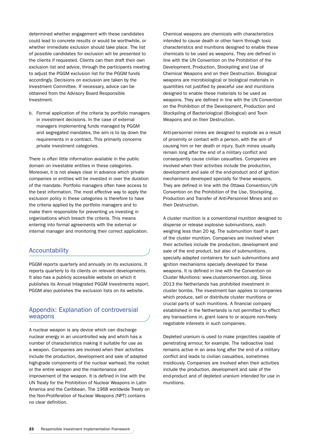determined whether engagement with these candidates could lead to concrete results or would be worthwhile, or whether immediate exclusion should take place. The list of possible candidates for exclusion will be presented to the clients if requested. Clients can then draft their own exclusion list and advice, through the participants meeting to adjust the PGGM exclusion list for the PGGM funds accordingly. Decisions on exclusion are taken by the Investment Committee. If necessary, advice can be obtained from the Advisory Board Responsible Investment.

b. Formal application of the criteria by portfolio managers in investment decisions. In the case of external managers implementing funds managed by PGGM and segregated mandates, the aim is to lay down the requirements in a contract. This primarily concerns private investment categories.

There is often little information available in the public domain on investable entities in these categories. Moreover, it is not always clear in advance which private companies or entities will be invested in over the duration of the mandate. Portfolio managers often have access to the best information. The most effective way to apply the exclusion policy in these categories is therefore to have the criteria applied by the portfolio managers and to make them responsible for preventing us investing in organisations which breach the criteria. This means entering into formal agreements with the external or internal manager and monitoring their correct application.

#### **Accountability**

PGGM reports quarterly and annually on its exclusions. It reports quarterly to its clients on relevant developments. It also has a publicly accessible website on which it publishes its Annual Integrated PGGM Investments report. PGGM also publishes the exclusion lists on its website.

# Appendix: Explanation of controversial weapons

A nuclear weapon is any device which can discharge nuclear energy in an uncontrolled way and which has a number of characteristics making it suitable for use as a weapon. Companies are involved when their activities include the production, development and sale of adapted high-grade components of the nuclear warhead, the rocket or the entire weapon and the maintenance and improvement of the weapon. It is defined in line with the UN Treaty for the Prohibition of Nuclear Weapons in Latin America and the Caribbean. The 1968 worldwide Treaty on the Non-Proliferation of Nuclear Weapons (NPT) contains no clear definition.

Chemical weapons are chemicals with characteristics intended to cause death or other harm through toxic characteristics and munitions designed to enable these chemicals to be used as weapons. They are defined in line with the UN Convention on the Prohibition of the Development, Production, Stockpiling and Use of Chemical Weapons and on their Destruction. Biological weapons are microbiological or biological materials in quantities not justified by peaceful use and munitions designed to enable these materials to be used as weapons. They are defined in line with the UN Convention on the Prohibition of the Development, Production and Stockpiling of Bacteriological (Biological) and Toxin Weapons and on their Destruction.

Anti-personnel mines are designed to explode as a result of proximity or contact with a person, with the aim of causing him or her death or injury. Such mines usually remain long after the end of a military conflict and consequently cause civilian casualties. Companies are involved when their activities include the production, development and sale of the end-product and of ignition mechanisms developed specially for these weapons. They are defined in line with the Ottawa Convention/UN Convention on the Prohibition of the Use, Stockpiling, Production and Transfer of Anti-Personnel Mines and on their Destruction.

A cluster munition is a conventional munition designed to disperse or release explosive submunitions, each weighing less than 20 kg. The submunition itself is part of the cluster munition. Companies are involved when their activities include the production, development and sale of the end product, but also of submunitions, specially adapted containers for such submunitions and ignition mechanisms specially developed for these weapons. It is defined in line with the Convention on Cluster Munitions: www.clusterconvention.org. Since 2013 the Netherlands has prohibited investment in cluster bombs. The investment ban applies to companies which produce, sell or distribute cluster munitions or crucial parts of such munitions. A financial company established in the Netherlands is not permitted to effect any transactions in, grant loans to or acquire non-freely negotiable interests in such companies.

Depleted uranium is used to make projectiles capable of penetrating armour, for example. The radioactive load remains active in an area long after the end of a military conflict and leads to civilian casualties, sometimes insidiously. Companies are involved when their activities include the production, development and sale of the end-product and of depleted uranium intended for use in munitions.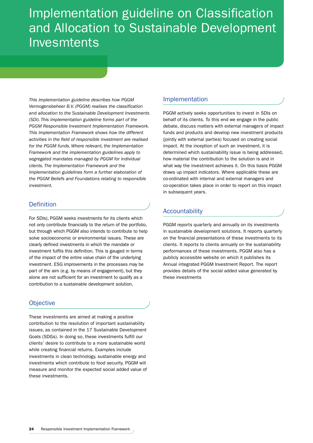# Implementation guideline on Classification and Allocation to Sustainable Development Invesmtents

*This implementation guideline describes how PGGM Vermogensbeheer B.V. (PGGM) realises the classification and allocation to the Sustainable Development Investments (SDI). This implementation guideline forms part of the PGGM Responsible Investment Implementation Framework. This Implementation Framework shows how the different activities in the field of responsible investment are realised for the PGGM funds. Where relevant, the Implementation Framework and the implementation guidelines apply to segregated mandates managed by PGGM for individual clients. The Implementation Framework and the implementation guidelines form a further elaboration of the PGGM Beliefs and Foundations relating to responsible investment.* 

# Definition

For SDIs), PGGM seeks investments for its clients which not only contribute financially to the return of the portfolio, but through which PGGM also intends to contribute to help solve socioeconomic or environmental issues. These are clearly defined investments in which the mandate or investment fulfils this definition. This is gauged in terms of the impact of the entire value chain of the underlying investment. ESG improvements in the processes may be part of the aim (e.g. by means of engagement), but they alone are not sufficient for an investment to qualify as a contribution to a sustainable development solution.

# **Objective**

These investments are aimed at making a positive contribution to the resolution of important sustainability issues, as contained in the 17 Sustainable Development Goals (SDGs). In doing so, these investments fulfill our clients' desire to contribute to a more sustainable world while creating financial returns. Examples include investments in clean technology, sustainable energy and investments which contribute to food security. PGGM will measure and monitor the expected social added value of these investments.

# Implementation

PGGM actively seeks opportunities to invest in SDIs on behalf of its clients. To this end we engage in the public debate, discuss matters with external managers of impact funds and products and develop new investment products (jointly with external parties) focused on creating social impact. At the inception of such an investment, it is determined which sustainability issue is being addressed, how material the contribution to the solution is and in what way the investment achieves it. On this basis PGGM draws up impact indicators. Where applicable these are co-ordinated with internal and external managers and co-operation takes place in order to report on this impact in subsequent years.

# Accountability

PGGM reports quarterly and annually on its investments in sustainable development solutions. It reports quarterly on the financial presentations of these investments to its clients. It reports to clients annually on the sustainability performances of these investments. PGGM also has a publicly accessible website on which it publishes its Annual integrated PGGM Investment Report. The report provides details of the social added value generated by these investments